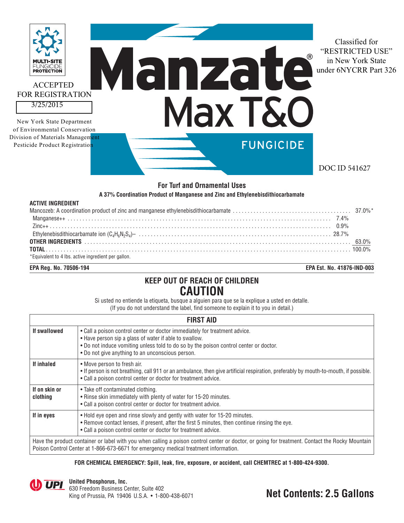

### **For Turf and Ornamental Uses**

#### **A 37% Coordination Product of Manganese and Zinc and Ethylenebisdithiocarbamate**

| <b>ACTIVE INGREDIENT</b>                            |  |
|-----------------------------------------------------|--|
|                                                     |  |
|                                                     |  |
|                                                     |  |
|                                                     |  |
|                                                     |  |
|                                                     |  |
| *Equivalent to 4 lbs. active ingredient per gallon. |  |

**EPA Reg. No. 70506-194 EPA Est. No. 41876-IND-003**

# **KEEP OUT OF REACH OF CHILDREN CAUTION**

Si usted no entiende la etiqueta, busque a alguien para que se la explique a usted en detalle. (If you do not understand the label, find someone to explain it to you in detail.)

| <b>FIRST AID</b>                                                                                                                                                                                                                        |                                                                                                                                                                                                                                                                                   |  |  |
|-----------------------------------------------------------------------------------------------------------------------------------------------------------------------------------------------------------------------------------------|-----------------------------------------------------------------------------------------------------------------------------------------------------------------------------------------------------------------------------------------------------------------------------------|--|--|
| If swallowed                                                                                                                                                                                                                            | . Call a poison control center or doctor immediately for treatment advice.<br>• Have person sip a glass of water if able to swallow.<br>. Do not induce vomiting unless told to do so by the poison control center or doctor.<br>• Do not give anything to an unconscious person. |  |  |
| If inhaled                                                                                                                                                                                                                              | • Move person to fresh air.<br>. If person is not breathing, call 911 or an ambulance, then give artificial respiration, preferably by mouth-to-mouth, if possible.<br>• Call a poison control center or doctor for treatment advice.                                             |  |  |
| If on skin or<br>clothing                                                                                                                                                                                                               | • Take off contaminated clothing.<br>• Rinse skin immediately with plenty of water for 15-20 minutes.<br>• Call a poison control center or doctor for treatment advice.                                                                                                           |  |  |
| If in eyes                                                                                                                                                                                                                              | . Hold eye open and rinse slowly and gently with water for 15-20 minutes.<br>• Remove contact lenses, if present, after the first 5 minutes, then continue rinsing the eye.<br>• Call a poison control center or doctor for treatment advice.                                     |  |  |
| Have the product container or label with you when calling a poison control center or doctor, or going for treatment. Contact the Rocky Mountain<br>Poison Control Center at 1-866-673-6671 for emergency medical treatment information. |                                                                                                                                                                                                                                                                                   |  |  |

#### **FOR CHEMICAL EMERGENCY: Spill, leak, fire, exposure, or accident, call CHEMTREC at 1-800-424-9300.**

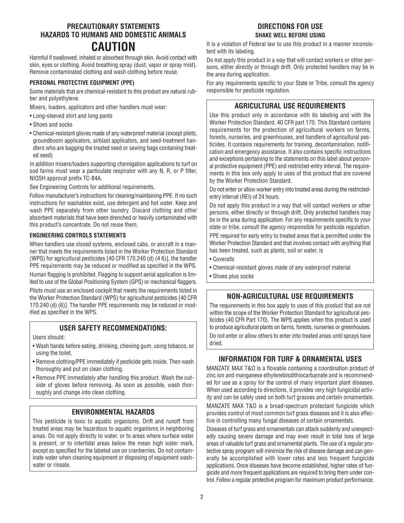# **PRECAUTIONARY STATEMENTS HAZARDS TO HUMANS AND DOMESTIC ANIMALS CAUTION**

Harmful if swallowed, inhaled or absorbed through skin. Avoid contact with skin, eyes or clothing. Avoid breathing spray (dust, vapor or spray mist). Remove contaminated clothing and wash clothing before reuse.

#### **PERSONAL PROTECTIVE EQUIPMENT (PPE)**

Some materials that are chemical-resistant to this product are natural rubber and polyethylene.

Mixers, loaders, applicators and other handlers must wear:

- Long-sleeved shirt and long pants
- Shoes and socks
- Chemical-resistant gloves made of any waterproof material (except pilots, groundboom applicators, airblast applicators, and seed-treatment handlers who are bagging the treated seed or sewing bags containing treated seed)

In addition mixers/loaders supporting chemigation applications to turf on sod farms must wear a particulate respirator with any N, R, or P filter, NIOSH approval prefix TC-84A.

See Engineering Controls for additional requirements.

Follow manufacturer's instructions for cleaning/maintaining PPE. If no such instructions for washables exist, use detergent and hot water. Keep and wash PPE separately from other laundry. Discard clothing and other absorbent materials that have been drenched or heavily contaminated with this product's concentrate. Do not reuse them.

#### **ENGINEERING CONTROLS STATEMENTS**

When handlers use closed systems, enclosed cabs, or aircraft in a manner that meets the requirements listed in the Worker Protection Standard (WPS) for agricultural pesticides [40 CFR 170.240 (d) (4 6)], the handler PPE requirements may be reduced or modified as specified in the WPS.

Human flagging is prohibited. Flagging to support aerial application is limited to use of the Global Positioning System (GPS) or mechanical flaggers.

Pilots must use an enclosed cockpit that meets the requirements listed in the Worker Protection Standard (WPS) for agricultural pesticides [40 CFR 170.240 (d) (6)]. The handler PPE requirements may be reduced or modified as specified in the WPS.

### **USER SAFETY RECOMMENDATIONS:**

Users should:

- Wash hands before eating, drinking, chewing gum, using tobacco, or using the toilet.
- Remove clothing/PPE immediately if pesticide gets inside. Then wash thoroughly and put on clean clothing.
- Remove PPE immediately after handling this product. Wash the outside of gloves before removing. As soon as possible, wash thoroughly and change into clean clothing.

### **ENVIRONMENTAL HAZARDS**

This pesticide is toxic to aquatic organisms. Drift and runoff from treated areas may be hazardous to aquatic organisms in neighboring areas. Do not apply directly to water, or to areas where surface water is present, or to intertidal areas below the mean high water mark, except as specified for the labeled use on cranberries. Do not contaminate water when cleaning equipment or disposing of equipment washwater or rinsate.

# **DIRECTIONS FOR USE SHAKE WELL BEFORE USING**

It is a violation of Federal law to use this product in a manner inconsistent with its labeling.

Do not apply this product in a way that will contact workers or other persons, either directly or through drift. Only protected handlers may be in the area during application.

For any requirements specific to your State or Tribe, consult the agency responsible for pesticide regulation.

## **AGRICULTURAL USE REQUIREMENTS**

Use this product only in accordance with its labeling and with the Worker Protection Standard, 40 CFR part 170. This Standard contains requirements for the protection of agricultural workers on farms, forests, nurseries, and greenhouses, and handlers of agricultural pesticides. It contains requirements for training, decontamination, notification and emergency assistance. It also contains specific instructions and exceptions pertaining to the statements on this label about personal protective equipment (PPE) and restricted-entry interval. The requirements in this box only apply to uses of this product that are covered by the Worker Protection Standard.

Do not enter or allow worker entry into treated areas during the restrictedentry interval (REI) of 24 hours.

Do not apply this product in a way that will contact workers or other persons, either directly or through drift. Only protected handlers may be in the area during application. For any requirements specific to your state or tribe, consult the agency responsible for pesticide regulation. PPE required for early entry to treated areas that is permitted under the Worker Protection Standard and that involves contact with anything that has been treated, such as plants, soil or water, is

- Coveralls
- Chemical-resistant gloves made of any waterproof material
- Shoes plus socks

# **NON-AGRICULTURAL USE REQUIREMENTS**

The requirements in this box apply to uses of this product that are not within the scope of the Worker Protection Standard for agricultural pesticides (40 CFR Part 170). The WPS applies when this product is used to produce agricultural plants on farms, forests, nurseries or greenhouses. Do not enter or allow others to enter into treated areas until sprays have dried.

# **INFORMATION FOR TURF & ORNAMENTAL USES**

MANZATE MAX T&O is a flowable containing a coordination product of zinc ion and manganese ethylenebisdithiocarbamate and is recommended for use as a spray for the control of many important plant diseases. When used according to directions, it provides very high fungicidal activity and can be safely used on both turf grasses and certain ornamentals.

MANZATE MAX T&O is a broad-spectrum protectant fungicide which provides control of most common turf grass diseases and it is also effective in controlling many fungal diseases of certain ornamentals.

Diseases of turf grass and ornamentals can attack suddenly and unexpectedly causing severe damage and may even result in total loss of large areas of valuable turf grass and ornamental plants. The use of a regular protective spray program will minimize the risk of disease damage and can generally be accomplished with lower rates and less frequent fungicide applications. Once diseases have become established, higher rates of fungicide and more frequent applications are required to bring them under control. Follow a regular protective program for maximum product performance.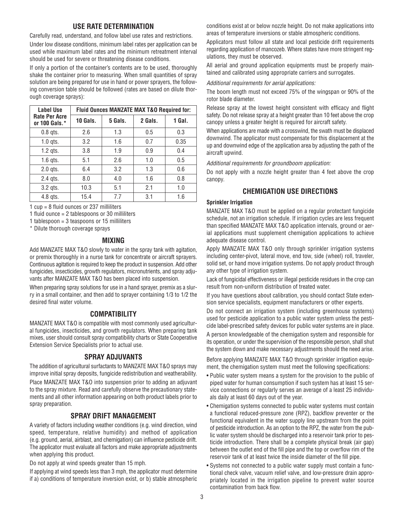### **USE RATE DETERMINATION**

Carefully read, understand, and follow label use rates and restrictions. Under low disease conditions, minimum label rates per application can be used while maximum label rates and the minimum retreatment interval should be used for severe or threatening disease conditions.

If only a portion of the container's contents are to be used, thoroughly shake the container prior to measuring. When small quantities of spray solution are being prepared for use in hand or power sprayers, the following conversion table should be followed (rates are based on dilute thorough coverage sprays):

| <b>Label Use</b>                      | <b>Fluid Ounces MANZATE MAX T&amp;O Required for:</b> |         |         |        |
|---------------------------------------|-------------------------------------------------------|---------|---------|--------|
| <b>Rate Per Acre</b><br>or 100 Gals.* | 10 Gals.                                              | 5 Gals. | 2 Gals. | 1 Gal. |
| $0.8$ qts.                            | 2.6                                                   | 1.3     | 0.5     | 0.3    |
| $1.0$ qts.                            | 3.2                                                   | 1.6     | 0.7     | 0.35   |
| $1.2$ qts.                            | 3.8                                                   | 1.9     | 0.9     | 0.4    |
| $1.6$ qts.                            | 5.1                                                   | 2.6     | 1.0     | 0.5    |
| $2.0$ qts.                            | 6.4                                                   | 3.2     | 1.3     | 0.6    |
| 2.4 gts.                              | 8.0                                                   | 4.0     | 1.6     | 0.8    |
| $3.2$ qts.                            | 10.3                                                  | 5.1     | 2.1     | 1.0    |
| 4.8 gts.                              | 15.4                                                  | 7.7     | 3.1     | 1.6    |

1 cup = 8 fluid ounces or 237 milliliters

1 fluid ounce = 2 tablespoons or 30 milliliters

1 tablespoon = 3 teaspoons or 15 milliliters

\* Dilute thorough coverage sprays

#### **MIXING**

Add MANZATE MAX T&O slowly to water in the spray tank with agitation, or premix thoroughly in a nurse tank for concentrate or aircraft sprayers. Continuous agitation is required to keep the product in suspension. Add other fungicides, insecticides, growth regulators, micronutrients, and spray adjuvants after MANZATE MAX T&O has been placed into suspension.

When preparing spray solutions for use in a hand sprayer, premix as a slurry in a small container, and then add to sprayer containing 1/3 to 1/2 the desired final water volume.

### **COMPATIBILITY**

MANZATE MAX T&O is compatible with most commonly used agricultural fungicides, insecticides, and growth regulators. When preparing tank mixes, user should consult spray compatibility charts or State Cooperative Extension Service Specialists prior to actual use.

### **SPRAY ADJUVANTS**

The addition of agricultural surfactants to MANZATE MAX T&O sprays may improve initial spray deposits, fungicide redistribution and weatherability. Place MANZATE MAX T&O into suspension prior to adding an adjuvant to the spray mixture. Read and carefully observe the precautionary statements and all other information appearing on both product labels prior to spray preparation.

### **SPRAY DRIFT MANAGEMENT**

A variety of factors including weather conditions (e.g. wind direction, wind speed, temperature, relative humidity) and method of application (e.g. ground, aerial, airblast, and chemigation) can influence pesticide drift. The applicator must evaluate all factors and make appropriate adjustments when applying this product.

Do not apply at wind speeds greater than 15 mph.

If applying at wind speeds less than 3 mph, the applicator must determine if a) conditions of temperature inversion exist, or b) stable atmospheric conditions exist at or below nozzle height. Do not make applications into areas of temperature inversions or stable atmospheric conditions.

Applicators must follow all state and local pesticide drift requirements regarding application of mancozeb. Where states have more stringent regulations, they must be observed.

All aerial and ground application equipments must be properly maintained and calibrated using appropriate carriers and surrogates.

Additional requirements for aerial applications:

The boom length must not exceed 75% of the wingspan or 90% of the rotor blade diameter.

Release spray at the lowest height consistent with efficacy and flight safety. Do not release spray at a height greater than 10 feet above the crop canopy unless a greater height is required for aircraft safety.

When applications are made with a crosswind, the swath must be displaced downwind. The applicator must compensate for this displacement at the up and downwind edge of the application area by adjusting the path of the aircraft upwind.

Additional requirements for groundboom application:

Do not apply with a nozzle height greater than 4 feet above the crop canopy.

### **CHEMIGATION USE DIRECTIONS**

#### **Sprinkler Irrigation**

MANZATE MAX T&O must be applied on a regular protectant fungicide schedule, not an irrigation schedule. If irrigation cycles are less frequent than specified MANZATE MAX T&O application intervals, ground or aerial applications must supplement chemigation applications to achieve adequate disease control.

Apply MANZATE MAX T&O only through sprinkler irrigation systems including center-pivot, lateral move, end tow, side (wheel) roll, traveler, solid set, or hand move irrigation systems. Do not apply product through any other type of irrigation system.

Lack of fungicidal effectiveness or illegal pesticide residues in the crop can result from non-uniform distribution of treated water.

If you have questions about calibration, you should contact State extension service specialists, equipment manufacturers or other experts.

Do not connect an irrigation system (including greenhouse systems) used for pesticide application to a public water system unless the pesticide label-prescribed safety devices for public water systems are in place.

A person knowledgeable of the chemigation system and responsible for its operation, or under the supervision of the responsible person, shall shut the system down and make necessary adjustments should the need arise.

Before applying MANZATE MAX T&O through sprinkler irrigation equipment, the chemigation system must meet the following specifications:

- Public water system means a system for the provision to the public of piped water for human consumption if such system has at least 15 service connections or regularly serves an average of a least 25 individuals daily at least 60 days out of the year.
- Chemigation systems connected to public water systems must contain a functional reduced-pressure zone (RPZ), backflow preventer or the functional equivalent in the water supply line upstream from the point of pesticide introduction. As an option to the RPZ, the water from the public water system should be discharged into a reservoir tank prior to pesticide introduction. There shall be a complete physical break (air gap) between the outlet end of the fill pipe and the top or overflow rim of the reservoir tank of at least twice the inside diameter of the fill pipe.
- Systems not connected to a public water supply must contain a functional check valve, vacuum relief valve, and low-pressure drain appropriately located in the irrigation pipeline to prevent water source contamination from back flow.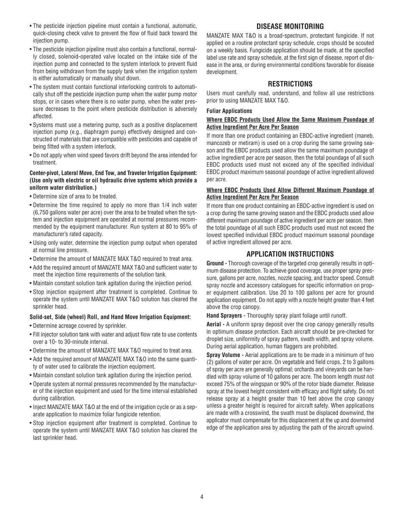- The pesticide injection pipeline must contain a functional, automatic, quick-closing check valve to prevent the flow of fluid back toward the injection pump.
- The pesticide injection pipeline must also contain a functional, normally closed, solenoid-operated valve located on the intake side of the injection pump and connected to the system interlock to prevent fluid from being withdrawn from the supply tank when the irrigation system is either automatically or manually shut down.
- The system must contain functional interlocking controls to automatically shut off the pesticide injection pump when the water pump motor stops, or in cases where there is no water pump, when the water pressure decreases to the point where pesticide distribution is adversely affected.
- Systems must use a metering pump, such as a positive displacement injection pump (e.g., diaphragm pump) effectively designed and constructed of materials that are compatible with pesticides and capable of being fitted with a system interlock.
- Do not apply when wind speed favors drift beyond the area intended for treatment.

#### **Center-pivot, Lateral Move, End Tow, and Traveler Irrigation Equipment: (Use only with electric or oil hydraulic drive systems which provide a uniform water distribution.)**

- Determine size of area to be treated.
- Determine the time required to apply no more than 1/4 inch water (6,750 gallons water per acre) over the area to be treated when the system and injection equipment are operated at normal pressures recommended by the equipment manufacturer. Run system at 80 to 95% of manufacturer's rated capacity.
- Using only water, determine the injection pump output when operated at normal line pressure.
- Determine the amount of MANZATE MAX T&O required to treat area.
- Add the required amount of MANZATE MAX T&O and sufficient water to meet the injection time requirements of the solution tank.
- Maintain constant solution tank agitation during the injection period.
- Stop injection equipment after treatment is completed. Continue to operate the system until MANZATE MAX T&O solution has cleared the sprinkler head.

#### **Solid-set, Side (wheel) Roll, and Hand Move Irrigation Equipment:**

- Determine acreage covered by sprinkler.
- Fill injector solution tank with water and adjust flow rate to use contents over a 10- to 30-minute interval.
- Determine the amount of MANZATE MAX T&O required to treat area.
- Add the required amount of MANZATE MAX T&O into the same quantity of water used to calibrate the injection equipment.
- Maintain constant solution tank agitation during the injection period.
- Operate system at normal pressures recommended by the manufacturer of the injection equipment and used for the time interval established during calibration.
- Inject MANZATE MAX T&O at the end of the irrigation cycle or as a separate application to maximize foliar fungicide retention.
- Stop injection equipment after treatment is completed. Continue to operate the system until MANZATE MAX T&O solution has cleared the last sprinkler head.

#### MANZATE MAX T&O is a broad-spectrum, protectant fungicide. If not applied on a routine protectant spray schedule, crops should be scouted on a weekly basis. Fungicide application should be made, at the specified label use rate and spray schedule, at the first sign of disease, report of disease in the area, or during environmental conditions favorable for disease development.

**DISEASE MONITORING**

### **RESTRICTIONS**

Users must carefully read, understand, and follow all use restrictions prior to using MANZATE MAX T&O.

#### **Foliar Applications**

#### **Where EBDC Products Used Allow the Same Maximum Poundage of Active Ingredient Per Acre Per Season**

If more than one product containing an EBDC-active ingredient (maneb, mancozeb or metiram) is used on a crop during the same growing season and the EBDC products used allow the same maximum poundage of active ingredient per acre per season, then the total poundage of all such EBDC products used must not exceed any of the specified individual EBDC product maximum seasonal poundage of active ingredient allowed per acre.

#### **Where EBDC Products Used Allow Different Maximum Poundage of Active Ingredient Per Acre Per Season**

If more than one product containing an EBDC-active ingredient is used on a crop during the same growing season and the EBDC products used allow different maximum poundage of active ingredient per acre per season, then the total poundage of all such EBDC products used must not exceed the lowest specified individual EBDC product maximum seasonal poundage of active ingredient allowed per acre.

### **APPLICATION INSTRUCTIONS**

**Ground -** Thorough coverage of the targeted crop generally results in optimum disease protection. To achieve good coverage, use proper spray pressure, gallons per acre, nozzles, nozzle spacing, and tractor speed. Consult spray nozzle and accessory catalogues for specific information on proper equipment calibration. Use 20 to 100 gallons per acre for ground application equipment. Do not apply with a nozzle height greater than 4 feet above the crop canopy.

**Hand Sprayers -** Thoroughly spray plant foliage until runoff.

**Aerial -** A uniform spray deposit over the crop canopy generally results in optimum disease protection. Each aircraft should be pre-checked for droplet size, uniformity of spray pattern, swath width, and spray volume. During aerial application, human flaggers are prohibited.

**Spray Volume -** Aerial applications are to be made in a minimum of two (2) gallons of water per acre. On vegetable and field crops, 2 to 3 gallons of spray per acre are generally optimal; orchards and vineyards can be handled with spray volume of 10 gallons per acre. The boom length must not exceed 75% of the wingspan or 90% of the rotor blade diameter. Release spray at the lowest height consistent with efficacy and flight safety. Do not release spray at a height greater than 10 feet above the crop canopy unless a greater height is required for aircraft safety. When applications are made with a crosswind, the swath must be displaced downwind, the applicator must compensate for this displacement at the up and downwind edge of the application area by adjusting the path of the aircraft upwind.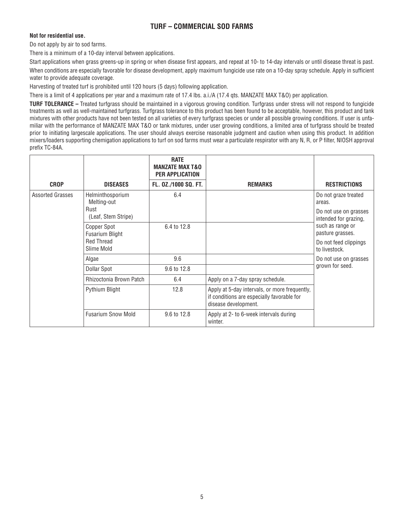# **TURF – COMMERCIAL SOD FARMS**

### **Not for residential use.**

Do not apply by air to sod farms.

There is a minimum of a 10-day interval between applications.

Start applications when grass greens-up in spring or when disease first appears, and repeat at 10- to 14-day intervals or until disease threat is past. When conditions are especially favorable for disease development, apply maximum fungicide use rate on a 10-day spray schedule. Apply in sufficient water to provide adequate coverage.

Harvesting of treated turf is prohibited until 120 hours (5 days) following application.

There is a limit of 4 applications per year and a maximum rate of 17.4 lbs. a.i./A (17.4 qts. MANZATE MAX T&O) per application.

**TURF TOLERANCE –** Treated turfgrass should be maintained in a vigorous growing condition. Turfgrass under stress will not respond to fungicide treatments as well as well-maintained turfgrass. Turfgrass tolerance to this product has been found to be acceptable, however, this product and tank mixtures with other products have not been tested on all varieties of every turfgrass species or under all possible growing conditions. If user is unfamiliar with the performance of MANZATE MAX T&O or tank mixtures, under user growing conditions, a limited area of turfgrass should be treated prior to initiating largescale applications. The user should always exercise reasonable judgment and caution when using this product. In addition mixers/loaders supporting chemigation applications to turf on sod farms must wear a particulate respirator with any N, R, or P filter, NIOSH approval prefix TC-84A.

|                         |                                                                          | <b>RATE</b><br><b>MANZATE MAX T&amp;O</b><br>PER APPLICATION |                                                                                                                     |                                                                                                                                                                    |
|-------------------------|--------------------------------------------------------------------------|--------------------------------------------------------------|---------------------------------------------------------------------------------------------------------------------|--------------------------------------------------------------------------------------------------------------------------------------------------------------------|
| <b>CROP</b>             | <b>DISEASES</b>                                                          | FL. 0Z./1000 SQ. FT.                                         | <b>REMARKS</b>                                                                                                      | <b>RESTRICTIONS</b>                                                                                                                                                |
| <b>Assorted Grasses</b> | Helminthosporium<br>Melting-out<br>Rust<br>(Leaf, Stem Stripe)           | 6.4                                                          |                                                                                                                     | Do not graze treated<br>areas.<br>Do not use on grasses<br>intended for grazing,<br>such as range or<br>pasture grasses.<br>Do not feed clippings<br>to livestock. |
|                         | Copper Spot<br><b>Fusarium Blight</b><br><b>Red Thread</b><br>Slime Mold | 6.4 to 12.8                                                  |                                                                                                                     |                                                                                                                                                                    |
|                         | Algae                                                                    | 9.6                                                          |                                                                                                                     | Do not use on grasses                                                                                                                                              |
|                         | <b>Dollar Spot</b>                                                       | 9.6 to 12.8                                                  |                                                                                                                     | grown for seed.                                                                                                                                                    |
|                         | Rhizoctonia Brown Patch                                                  | 6.4                                                          | Apply on a 7-day spray schedule.                                                                                    |                                                                                                                                                                    |
|                         | Pythium Blight                                                           | 12.8                                                         | Apply at 5-day intervals, or more frequently,<br>if conditions are especially favorable for<br>disease development. |                                                                                                                                                                    |
|                         | <b>Fusarium Snow Mold</b>                                                | 9.6 to 12.8                                                  | Apply at 2- to 6-week intervals during<br>winter.                                                                   |                                                                                                                                                                    |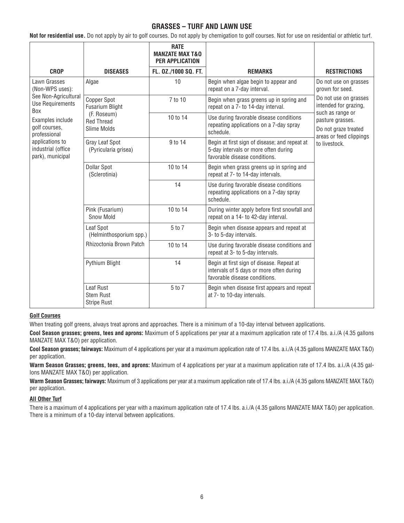# **GRASSES – TURF AND LAWN USE**

**Not for residential use.** Do not apply by air to golf courses. Do not apply by chemigation to golf courses. Not for use on residential or athletic turf.

|                                                                                                                                                                                                                    |                                                     | <b>RATE</b><br><b>MANZATE MAX T&amp;O</b><br>PER APPLICATION |                                                                                                                        |                                                                                            |
|--------------------------------------------------------------------------------------------------------------------------------------------------------------------------------------------------------------------|-----------------------------------------------------|--------------------------------------------------------------|------------------------------------------------------------------------------------------------------------------------|--------------------------------------------------------------------------------------------|
| <b>CROP</b>                                                                                                                                                                                                        | <b>DISEASES</b>                                     | FL. 0Z./1000 SQ. FT.                                         | <b>REMARKS</b>                                                                                                         | <b>RESTRICTIONS</b>                                                                        |
| Lawn Grasses<br>(Non-WPS uses):<br>See Non-Agricultural<br><b>Use Requirements</b><br><b>Box</b><br>Examples include<br>golf courses,<br>professional<br>applications to<br>industrial (office<br>park), municipal | Algae                                               | 10                                                           | Begin when algae begin to appear and<br>repeat on a 7-day interval.                                                    | Do not use on grasses<br>grown for seed.<br>Do not use on grasses<br>intended for grazing, |
|                                                                                                                                                                                                                    | Copper Spot<br><b>Fusarium Blight</b>               | 7 to 10                                                      | Begin when grass greens up in spring and<br>repeat on a 7- to 14-day interval.                                         |                                                                                            |
|                                                                                                                                                                                                                    | (F. Roseum)<br><b>Red Thread</b><br>Slime Molds     | 10 to 14                                                     | Use during favorable disease conditions<br>repeating applications on a 7-day spray<br>schedule.                        | such as range or<br>pasture grasses.<br>Do not graze treated<br>areas or feed clippings    |
|                                                                                                                                                                                                                    | Gray Leaf Spot<br>(Pyricularia grisea)              | 9 to 14                                                      | Begin at first sign of disease; and repeat at<br>5-day intervals or more often during<br>favorable disease conditions. | to livestock.                                                                              |
|                                                                                                                                                                                                                    | <b>Dollar Spot</b><br>(Sclerotinia)                 | 10 to 14                                                     | Begin when grass greens up in spring and<br>repeat at 7- to 14-day intervals.                                          |                                                                                            |
|                                                                                                                                                                                                                    |                                                     | 14                                                           | Use during favorable disease conditions<br>repeating applications on a 7-day spray<br>schedule.                        |                                                                                            |
|                                                                                                                                                                                                                    | Pink (Fusarium)<br><b>Snow Mold</b>                 | 10 to 14                                                     | During winter apply before first snowfall and<br>repeat on a 14- to 42-day interval.                                   |                                                                                            |
|                                                                                                                                                                                                                    | Leaf Spot<br>(Helminthosporium spp.)                | 5 to 7                                                       | Begin when disease appears and repeat at<br>3- to 5-day intervals.                                                     |                                                                                            |
|                                                                                                                                                                                                                    | Rhizoctonia Brown Patch                             | 10 to 14                                                     | Use during favorable disease conditions and<br>repeat at 3- to 5-day intervals.                                        |                                                                                            |
|                                                                                                                                                                                                                    | Pythium Blight                                      | 14                                                           | Begin at first sign of disease. Repeat at<br>intervals of 5 days or more often during<br>favorable disease conditions. |                                                                                            |
|                                                                                                                                                                                                                    | Leaf Rust<br><b>Stem Rust</b><br><b>Stripe Rust</b> | 5 to 7                                                       | Begin when disease first appears and repeat<br>at 7- to 10-day intervals.                                              |                                                                                            |

### **Golf Courses**

When treating golf greens, always treat aprons and approaches. There is a minimum of a 10-day interval between applications.

**Cool Season grasses; greens, tees and aprons:** Maximum of 5 applications per year at a maximum application rate of 17.4 lbs. a.i./A (4.35 gallons MANZATE MAX T&O) per application.

**Cool Season grasses; fairways:** Maximum of 4 applications per year at a maximum application rate of 17.4 lbs. a.i./A (4.35 gallons MANZATE MAX T&O) per application.

**Warm Season Grasses; greens, tees, and aprons:** Maximum of 4 applications per year at a maximum application rate of 17.4 lbs. a.i./A (4.35 gallons MANZATE MAX T&O) per application.

**Warm Season Grasses; fairways:** Maximum of 3 applications per year at a maximum application rate of 17.4 lbs. a.i./A (4.35 gallons MANZATE MAX T&O) per application.

#### **All Other Turf**

There is a maximum of 4 applications per year with a maximum application rate of 17.4 lbs. a.i./A (4.35 gallons MANZATE MAX T&O) per application. There is a minimum of a 10-day interval between applications.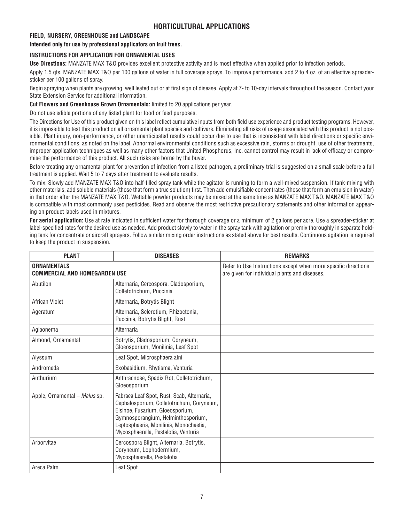# **HORTICULTURAL APPLICATIONS**

### **FIELD, NURSERY, GREENHOUSE and LANDSCAPE**

**Intended only for use by professional applicators on fruit trees.**

### **INSTRUCTIONS FOR APPLICATION FOR ORNAMENTAL USES**

**Use Directions:** MANZATE MAX T&O provides excellent protective activity and is most effective when applied prior to infection periods.

Apply 1.5 qts. MANZATE MAX T&O per 100 gallons of water in full coverage sprays. To improve performance, add 2 to 4 oz. of an effective spreadersticker per 100 gallons of spray.

Begin spraying when plants are growing, well leafed out or at first sign of disease. Apply at 7- to 10-day intervals throughout the season. Contact your State Extension Service for additional information.

#### **Cut Flowers and Greenhouse Grown Ornamentals:** limited to 20 applications per year.

Do not use edible portions of any listed plant for food or feed purposes.

The Directions for Use of this product given on this label reflect cumulative inputs from both field use experience and product testing programs. However, it is impossible to test this product on all ornamental plant species and cultivars. Eliminating all risks of usage associated with this product is not possible. Plant injury, non-performance, or other unanticipated results could occur due to use that is inconsistent with label directions or specific environmental conditions, as noted on the label. Abnormal environmental conditions such as excessive rain, storms or drought, use of other treatments, improper application techniques as well as many other factors that United Phosphorus, Inc. cannot control may result in lack of efficacy or compromise the performance of this product. All such risks are borne by the buyer.

Before treating any ornamental plant for prevention of infection from a listed pathogen, a preliminary trial is suggested on a small scale before a full treatment is applied. Wait 5 to 7 days after treatment to evaluate results.

To mix: Slowly add MANZATE MAX T&O into half-filled spray tank while the agitator is running to form a well-mixed suspension. If tank-mixing with other materials, add soluble materials (those that form a true solution) first. Then add emulsifiable concentrates (those that form an emulsion in water) in that order after the MANZATE MAX T&O. Wettable powder products may be mixed at the same time as MANZATE MAX T&O. MANZATE MAX T&O is compatible with most commonly used pesticides. Read and observe the most restrictive precautionary statements and other information appearing on product labels used in mixtures.

**For aerial application:** Use at rate indicated in sufficient water for thorough coverage or a minimum of 2 gallons per acre. Use a spreader-sticker at label-specified rates for the desired use as needed. Add product slowly to water in the spray tank with agitation or premix thoroughly in separate holding tank for concentrate or aircraft sprayers. Follow similar mixing order instructions as stated above for best results. Continuous agitation is required to keep the product in suspension.

| <b>PLANT</b>                                               | <b>DISEASES</b>                                                                                                                                                                                                                                     | <b>REMARKS</b>                                                                                                  |
|------------------------------------------------------------|-----------------------------------------------------------------------------------------------------------------------------------------------------------------------------------------------------------------------------------------------------|-----------------------------------------------------------------------------------------------------------------|
| <b>ORNAMENTALS</b><br><b>COMMERCIAL AND HOMEGARDEN USE</b> |                                                                                                                                                                                                                                                     | Refer to Use Instructions except when more specific directions<br>are given for individual plants and diseases. |
| Abutilon                                                   | Alternaria, Cercospora, Cladosporium,<br>Colletotrichum, Puccinia                                                                                                                                                                                   |                                                                                                                 |
| African Violet                                             | Alternaria, Botrytis Blight                                                                                                                                                                                                                         |                                                                                                                 |
| Ageratum                                                   | Alternaria, Sclerotium, Rhizoctonia,<br>Puccinia, Botrytis Blight, Rust                                                                                                                                                                             |                                                                                                                 |
| Aglaonema                                                  | Alternaria                                                                                                                                                                                                                                          |                                                                                                                 |
| Almond, Ornamental                                         | Botrytis, Cladosporium, Coryneum,<br>Gloeosporium, Monilinia, Leaf Spot                                                                                                                                                                             |                                                                                                                 |
| Alyssum                                                    | Leaf Spot, Microsphaera alni                                                                                                                                                                                                                        |                                                                                                                 |
| Andromeda                                                  | Exobasidium, Rhytisma, Venturia                                                                                                                                                                                                                     |                                                                                                                 |
| Anthurium                                                  | Anthracnose, Spadix Rot, Colletotrichum,<br>Gloeosporium                                                                                                                                                                                            |                                                                                                                 |
| Apple, Ornamental - Malus sp.                              | Fabraea Leaf Spot, Rust, Scab, Alternaria,<br>Cephalosporium, Colletotrichum, Coryneum,<br>Elsinoe, Fusarium, Gloeosporium,<br>Gymnosporangium, Helminthosporium,<br>Leptosphaeria, Monilinia, Monochaetia,<br>Mycosphaerella, Pestalotia, Venturia |                                                                                                                 |
| Arborvitae                                                 | Cercospora Blight, Alternaria, Botrytis,<br>Coryneum, Lophodermium,<br>Mycosphaerella, Pestalotia                                                                                                                                                   |                                                                                                                 |
| Areca Palm                                                 | Leaf Spot                                                                                                                                                                                                                                           |                                                                                                                 |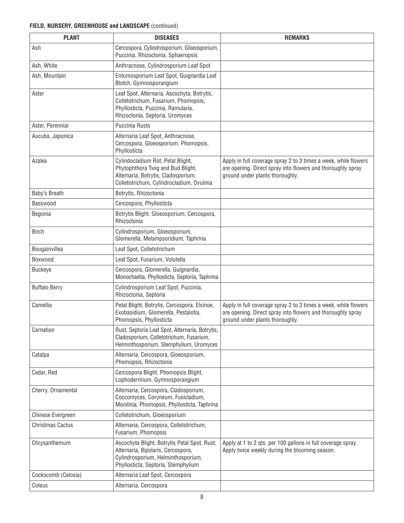| <b>PLANT</b>            | <b>DISEASES</b>                                                                                                                                                 | <b>REMARKS</b>                                                                                                                                                    |
|-------------------------|-----------------------------------------------------------------------------------------------------------------------------------------------------------------|-------------------------------------------------------------------------------------------------------------------------------------------------------------------|
| Ash                     | Cercospora, Cylindrosporium, Gloeosporium,<br>Puccinia, Rhizoctonia, Sphaeropsis                                                                                |                                                                                                                                                                   |
| Ash, White              | Anthracnose, Cylindrosporium Leaf Spot                                                                                                                          |                                                                                                                                                                   |
| Ash, Mountain           | Entomosporium Leaf Spot, Guignardia Leaf<br>Blotch, Gymnosporangium                                                                                             |                                                                                                                                                                   |
| Aster                   | Leaf Spot, Alternaria, Ascochyta, Botrytis,<br>Colletotrichum, Fusarium, Phomopsis,<br>Phyllosticta, Puccinia, Ramularia,<br>Rhizoctonia, Septoria, Uromyces    |                                                                                                                                                                   |
| Aster, Perennial        | <b>Puccinia Rusts</b>                                                                                                                                           |                                                                                                                                                                   |
| Aucuba, Japonica        | Alternaria Leaf Spot, Anthracnose,<br>Cercospora, Gloeosporium, Phomopsis,<br>Phyllosticta                                                                      |                                                                                                                                                                   |
| Azalea                  | Cylindocladium Rot, Petal Blight,<br>Phytophthora Twig and Bud Blight,<br>Alternaria, Botrytis, Cladosporium,<br>Colletotrichum, Cylindrocladium, Ovulinia      | Apply in full coverage spray 2 to 3 times a week, while flowers<br>are opening. Direct spray into flowers and thoroughly spray<br>ground under plants thoroughly. |
| Baby's Breath           | Botrytis, Rhizoctonia                                                                                                                                           |                                                                                                                                                                   |
| Basswood                | Cercospora, Phyllosticta                                                                                                                                        |                                                                                                                                                                   |
| Begonia                 | Botrytis Blight, Gloeosporium, Cercospora,<br>Rhizoctonia                                                                                                       |                                                                                                                                                                   |
| <b>Birch</b>            | Cylindrosporium, Gloeosporium,<br>Glomerella, Melampsoridium, Taphrina                                                                                          |                                                                                                                                                                   |
| Bougainvillea           | Leaf Spot, Colletotrichum                                                                                                                                       |                                                                                                                                                                   |
| Boxwood                 | Leaf Spot, Fusarium, Volutella                                                                                                                                  |                                                                                                                                                                   |
| <b>Buckeye</b>          | Cercospora, Glomerella, Guignardia,<br>Monochaetia, Phyllosticta, Septoria, Taphrina                                                                            |                                                                                                                                                                   |
| <b>Buffalo Berry</b>    | Cylindrosporium Leaf Spot, Puccinia,<br>Rhizoctonia, Septoria                                                                                                   |                                                                                                                                                                   |
| Camellia                | Petal Blight, Botrytis, Cercospora, Elsinoe,<br>Exobasidium, Glomerella, Pestalotia,<br>Phomopsis, Phyllosticta                                                 | Apply in full coverage spray 2 to 3 times a week, while flowers<br>are opening. Direct spray into flowers and thoroughly spray<br>ground under plants thoroughly. |
| Carnation               | Rust, Septoria Leaf Spot, Alternaria, Botrytis,<br>Cladosporium, Colletotrichum, Fusarium,<br>Helminthosporium, Stemphylium, Uromyces                           |                                                                                                                                                                   |
| Catalpa                 | Alternaria, Cercospora, Gloeosporium,<br>Phomopsis, Rhizoctonia                                                                                                 |                                                                                                                                                                   |
| Cedar, Red              | Cercospora Blight, Phomopsis Blight,<br>Lophodermium, Gymnosporangium                                                                                           |                                                                                                                                                                   |
| Cherry, Ornamental      | Alternaria, Cercospora, Cladosporium,<br>Coccomyces, Coryneum, Fusicladium,<br>Monilinia, Phomopsis, Phyllosticta, Taphrina                                     |                                                                                                                                                                   |
| Chinese Evergreen       | Colletotrichum, Gloeosporium                                                                                                                                    |                                                                                                                                                                   |
| <b>Christmas Cactus</b> | Alternaria, Cercospora, Colletotrichum,<br>Fusarium, Phomopsis                                                                                                  |                                                                                                                                                                   |
| Chrysanthemum           | Ascochyta Blight, Botrytis Petal Spot, Rust,<br>Alternaria, Bipolaris, Cercospora,<br>Cylindrosporium, Helminthosporium,<br>Phyllosticta, Septoria, Stemphylium | Apply at 1 to 2 gts. per 100 gallons in full coverage spray.<br>Apply twice weekly during the blooming season.                                                    |
| Cockscomb (Celosia)     | Alternaria Leaf Spot, Cercospora                                                                                                                                |                                                                                                                                                                   |
| Coleus                  | Alternaria, Cercospora                                                                                                                                          |                                                                                                                                                                   |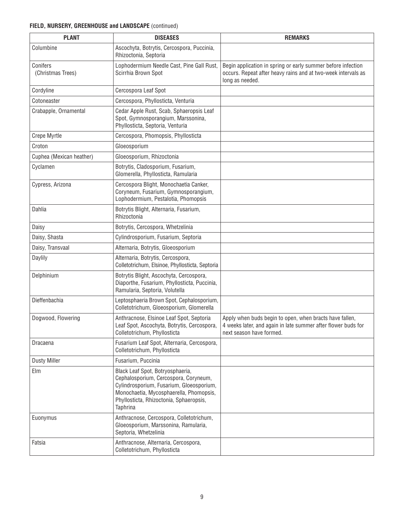| <b>PLANT</b>                  | <b>DISEASES</b>                                                                                                                                                                                                         | <b>REMARKS</b>                                                                                                                                       |
|-------------------------------|-------------------------------------------------------------------------------------------------------------------------------------------------------------------------------------------------------------------------|------------------------------------------------------------------------------------------------------------------------------------------------------|
| Columbine                     | Ascochyta, Botrytis, Cercospora, Puccinia,<br>Rhizoctonia, Septoria                                                                                                                                                     |                                                                                                                                                      |
| Conifers<br>(Christmas Trees) | Lophodermium Needle Cast, Pine Gall Rust,<br>Scirrhia Brown Spot                                                                                                                                                        | Begin application in spring or early summer before infection<br>occurs. Repeat after heavy rains and at two-week intervals as<br>long as needed.     |
| Cordyline                     | Cercospora Leaf Spot                                                                                                                                                                                                    |                                                                                                                                                      |
| Cotoneaster                   | Cercospora, Phyllosticta, Venturia                                                                                                                                                                                      |                                                                                                                                                      |
| Crabapple, Ornamental         | Cedar Apple Rust, Scab, Sphaeropsis Leaf<br>Spot, Gymnosporangium, Marssonina,<br>Phyllosticta, Septoria, Venturia                                                                                                      |                                                                                                                                                      |
| Crepe Myrtle                  | Cercospora, Phomopsis, Phyllosticta                                                                                                                                                                                     |                                                                                                                                                      |
| Croton                        | Gloeosporium                                                                                                                                                                                                            |                                                                                                                                                      |
| Cuphea (Mexican heather)      | Gloeosporium, Rhizoctonia                                                                                                                                                                                               |                                                                                                                                                      |
| Cyclamen                      | Botrytis, Cladosporium, Fusarium,<br>Glomerella, Phyllosticta, Ramularia                                                                                                                                                |                                                                                                                                                      |
| Cypress, Arizona              | Cercospora Blight, Monochaetia Canker,<br>Coryneum, Fusarium, Gymnosporangium,<br>Lophodermium, Pestalotia, Phomopsis                                                                                                   |                                                                                                                                                      |
| Dahlia                        | Botrytis Blight, Alternaria, Fusarium,<br>Rhizoctonia                                                                                                                                                                   |                                                                                                                                                      |
| Daisy                         | Botrytis, Cercospora, Whetzelinia                                                                                                                                                                                       |                                                                                                                                                      |
| Daisy, Shasta                 | Cylindrosporium, Fusarium, Septoria                                                                                                                                                                                     |                                                                                                                                                      |
| Daisy, Transvaal              | Alternaria, Botrytis, Gloeosporium                                                                                                                                                                                      |                                                                                                                                                      |
| Daylily                       | Alternaria, Botrytis, Cercospora,<br>Colletotrichum, Elsinoe, Phyllosticta, Septoria                                                                                                                                    |                                                                                                                                                      |
| Delphinium                    | Botrytis Blight, Ascochyta, Cercospora,<br>Diaporthe, Fusarium, Phyllosticta, Puccinia,<br>Ramularia, Septoria, Volutella                                                                                               |                                                                                                                                                      |
| Dieffenbachia                 | Leptosphaeria Brown Spot, Cephalosporium,<br>Colletotrichum, Gloeosporium, Glomerella                                                                                                                                   |                                                                                                                                                      |
| Dogwood, Flowering            | Anthracnose, Elsinoe Leaf Spot, Septoria<br>Leaf Spot, Ascochyta, Botrytis, Cercospora,<br>Colletotrichum, Phyllosticta                                                                                                 | Apply when buds begin to open, when bracts have fallen,<br>4 weeks later, and again in late summer after flower buds for<br>next season have formed. |
| Dracaena                      | Fusarium Leaf Spot, Alternaria, Cercospora,<br>Colletotrichum, Phyllosticta                                                                                                                                             |                                                                                                                                                      |
| <b>Dusty Miller</b>           | Fusarium, Puccinia                                                                                                                                                                                                      |                                                                                                                                                      |
| Elm                           | Black Leaf Spot, Botryosphaeria,<br>Cephalosporium, Cercospora, Coryneum,<br>Cylindrosporium, Fusarium, Gloeosporium,<br>Monochaetia, Mycosphaerella, Phomopsis,<br>Phyllosticta, Rhizoctonia, Sphaeropsis,<br>Taphrina |                                                                                                                                                      |
| Euonymus                      | Anthracnose, Cercospora, Colletotrichum,<br>Gloeosporium, Marssonina, Ramularia,<br>Septoria, Whetzelinia                                                                                                               |                                                                                                                                                      |
| Fatsia                        | Anthracnose, Alternaria, Cercospora,<br>Colletotrichum, Phyllosticta                                                                                                                                                    |                                                                                                                                                      |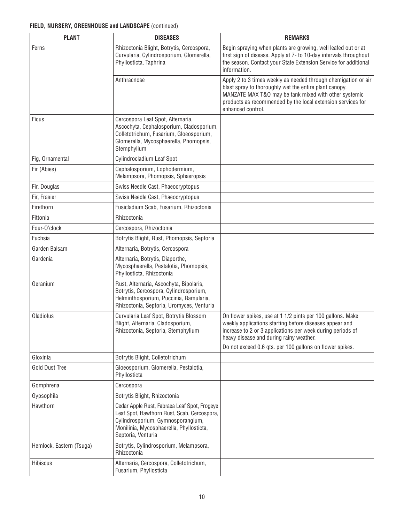| <b>PLANT</b>             | <b>DISEASES</b>                                                                                                                                                                                    | <b>REMARKS</b>                                                                                                                                                                                                                                                        |
|--------------------------|----------------------------------------------------------------------------------------------------------------------------------------------------------------------------------------------------|-----------------------------------------------------------------------------------------------------------------------------------------------------------------------------------------------------------------------------------------------------------------------|
| Ferns                    | Rhizoctonia Blight, Botrytis, Cercospora,<br>Curvularia, Cylindrosporium, Glomerella,<br>Phyllosticta, Taphrina                                                                                    | Begin spraying when plants are growing, well leafed out or at<br>first sign of disease. Apply at 7- to 10-day intervals throughout<br>the season. Contact your State Extension Service for additional<br>information.                                                 |
|                          | Anthracnose                                                                                                                                                                                        | Apply 2 to 3 times weekly as needed through chemigation or air<br>blast spray to thoroughly wet the entire plant canopy.<br>MANZATE MAX T&O may be tank mixed with other systemic<br>products as recommended by the local extension services for<br>enhanced control. |
| <b>Ficus</b>             | Cercospora Leaf Spot, Alternaria,<br>Ascochyta, Cephalosporium, Cladosporium,<br>Colletotrichum, Fusarium, Gloeosporium,<br>Glomerella, Mycosphaerella, Phomopsis,<br>Stemphylium                  |                                                                                                                                                                                                                                                                       |
| Fig, Ornamental          | Cylindrocladium Leaf Spot                                                                                                                                                                          |                                                                                                                                                                                                                                                                       |
| Fir (Abies)              | Cephalosporium, Lophodermium,<br>Melampsora, Phomopsis, Sphaeropsis                                                                                                                                |                                                                                                                                                                                                                                                                       |
| Fir, Douglas             | Swiss Needle Cast, Phaeocryptopus                                                                                                                                                                  |                                                                                                                                                                                                                                                                       |
| Fir, Frasier             | Swiss Needle Cast, Phaeocryptopus                                                                                                                                                                  |                                                                                                                                                                                                                                                                       |
| Firethorn                | Fusicladium Scab, Fusarium, Rhizoctonia                                                                                                                                                            |                                                                                                                                                                                                                                                                       |
| Fittonia                 | Rhizoctonia                                                                                                                                                                                        |                                                                                                                                                                                                                                                                       |
| Four-O'clock             | Cercospora, Rhizoctonia                                                                                                                                                                            |                                                                                                                                                                                                                                                                       |
| Fuchsia                  | Botrytis Blight, Rust, Phomopsis, Septoria                                                                                                                                                         |                                                                                                                                                                                                                                                                       |
| Garden Balsam            | Alternaria, Botrytis, Cercospora                                                                                                                                                                   |                                                                                                                                                                                                                                                                       |
| Gardenia                 | Alternaria, Botrytis, Diaporthe,<br>Mycosphaerella, Pestalotia, Phomopsis,<br>Phyllosticta, Rhizoctonia                                                                                            |                                                                                                                                                                                                                                                                       |
| Geranium                 | Rust, Alternaria, Ascochyta, Bipolaris,<br>Botrytis, Cercospora, Cylindrosporium,<br>Helminthosporium, Puccinia, Ramularia,<br>Rhizoctonia, Septoria, Uromyces, Venturia                           |                                                                                                                                                                                                                                                                       |
| Gladiolus                | Curvularia Leaf Spot, Botrytis Blossom<br>Blight, Alternaria, Cladosporium,<br>Rhizoctonia, Septoria, Stemphylium                                                                                  | On flower spikes, use at 1 1/2 pints per 100 gallons. Make<br>weekly applications starting before diseases appear and<br>increase to 2 or 3 applications per week during periods of<br>heavy disease and during rainy weather.                                        |
|                          |                                                                                                                                                                                                    | Do not exceed 0.6 qts. per 100 gallons on flower spikes.                                                                                                                                                                                                              |
| Gloxinia                 | Botrytis Blight, Colletotrichum                                                                                                                                                                    |                                                                                                                                                                                                                                                                       |
| <b>Gold Dust Tree</b>    | Gloeosporium, Glomerella, Pestalotia,<br>Phyllosticta                                                                                                                                              |                                                                                                                                                                                                                                                                       |
| Gomphrena                | Cercospora                                                                                                                                                                                         |                                                                                                                                                                                                                                                                       |
| Gypsophila               | Botrytis Blight, Rhizoctonia                                                                                                                                                                       |                                                                                                                                                                                                                                                                       |
| Hawthorn                 | Cedar Apple Rust, Fabraea Leaf Spot, Frogeye<br>Leaf Spot, Hawthorn Rust, Scab, Cercospora,<br>Cylindrosporium, Gymnosporangium,<br>Monilinia, Mycosphaerella, Phyllosticta,<br>Septoria, Venturia |                                                                                                                                                                                                                                                                       |
| Hemlock, Eastern (Tsuga) | Botrytis, Cylindrosporium, Melampsora,<br>Rhizoctonia                                                                                                                                              |                                                                                                                                                                                                                                                                       |
| Hibiscus                 | Alternaria, Cercospora, Colletotrichum,<br>Fusarium, Phyllosticta                                                                                                                                  |                                                                                                                                                                                                                                                                       |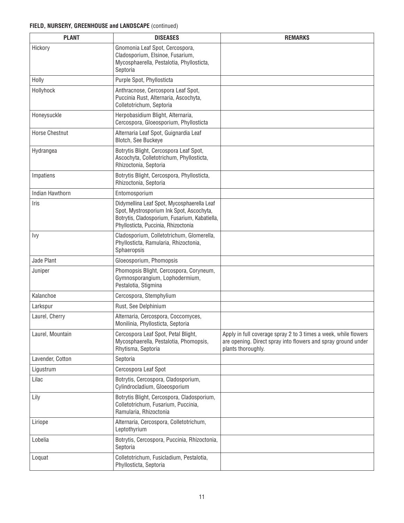| <b>PLANT</b>           | <b>DISEASES</b>                                                                                                                                                                | <b>REMARKS</b>                                                                                                                                         |
|------------------------|--------------------------------------------------------------------------------------------------------------------------------------------------------------------------------|--------------------------------------------------------------------------------------------------------------------------------------------------------|
| Hickory                | Gnomonia Leaf Spot, Cercospora,<br>Cladosporium, Elsinoe, Fusarium,<br>Mycosphaerella, Pestalotia, Phyllosticta,<br>Septoria                                                   |                                                                                                                                                        |
| Holly                  | Purple Spot, Phyllosticta                                                                                                                                                      |                                                                                                                                                        |
| Hollyhock              | Anthracnose, Cercospora Leaf Spot,<br>Puccinia Rust, Alternaria, Ascochyta,<br>Colletotrichum, Septoria                                                                        |                                                                                                                                                        |
| Honeysuckle            | Herpobasidium Blight, Alternaria,<br>Cercospora, Gloeosporium, Phyllosticta                                                                                                    |                                                                                                                                                        |
| <b>Horse Chestnut</b>  | Alternaria Leaf Spot, Guignardia Leaf<br>Blotch, See Buckeye                                                                                                                   |                                                                                                                                                        |
| Hydrangea              | Botrytis Blight, Cercospora Leaf Spot,<br>Ascochyta, Colletotrichum, Phyllosticta,<br>Rhizoctonia, Septoria                                                                    |                                                                                                                                                        |
| Impatiens              | Botrytis Blight, Cercospora, Phyllosticta,<br>Rhizoctonia, Septoria                                                                                                            |                                                                                                                                                        |
| <b>Indian Hawthorn</b> | Entomosporium                                                                                                                                                                  |                                                                                                                                                        |
| Iris                   | Didymellina Leaf Spot, Mycosphaerella Leaf<br>Spot, Mystrosporium Ink Spot, Ascochyta,<br>Botrytis, Cladosporium, Fusarium, Kabatiella,<br>Phyllosticta, Puccinia, Rhizoctonia |                                                                                                                                                        |
| Ivy                    | Cladosporium, Colletotrichum, Glomerella,<br>Phyllosticta, Ramularia, Rhizoctonia,<br>Sphaeropsis                                                                              |                                                                                                                                                        |
| Jade Plant             | Gloeosporium, Phomopsis                                                                                                                                                        |                                                                                                                                                        |
| Juniper                | Phomopsis Blight, Cercospora, Coryneum,<br>Gymnosporangium, Lophodermium,<br>Pestalotia, Stigmina                                                                              |                                                                                                                                                        |
| Kalanchoe              | Cercospora, Stemphylium                                                                                                                                                        |                                                                                                                                                        |
| Larkspur               | Rust, See Delphinium                                                                                                                                                           |                                                                                                                                                        |
| Laurel, Cherry         | Alternaria, Cercospora, Coccomyces,<br>Monilinia, Phyllosticta, Septoria                                                                                                       |                                                                                                                                                        |
| Laurel, Mountain       | Cercospora Leaf Spot, Petal Blight,<br>Mycosphaerella, Pestalotia, Phomopsis,<br>Rhytisma, Septoria                                                                            | Apply in full coverage spray 2 to 3 times a week, while flowers<br>are opening. Direct spray into flowers and spray ground under<br>plants thoroughly. |
| Lavender, Cotton       | Septoria                                                                                                                                                                       |                                                                                                                                                        |
| Ligustrum              | Cercospora Leaf Spot                                                                                                                                                           |                                                                                                                                                        |
| Lilac                  | Botrytis, Cercospora, Cladosporium,<br>Cylindrocladium, Gloeosporium                                                                                                           |                                                                                                                                                        |
| Lily                   | Botrytis Blight, Cercospora, Cladosporium,<br>Colletotrichum, Fusarium, Puccinia,<br>Ramularia, Rhizoctonia                                                                    |                                                                                                                                                        |
| Liriope                | Alternaria, Cercospora, Colletotrichum,<br>Leptothyrium                                                                                                                        |                                                                                                                                                        |
| Lobelia                | Botrytis, Cercospora, Puccinia, Rhizoctonia,<br>Septoria                                                                                                                       |                                                                                                                                                        |
| Loquat                 | Colletotrichum, Fusicladium, Pestalotia,<br>Phyllosticta, Septoria                                                                                                             |                                                                                                                                                        |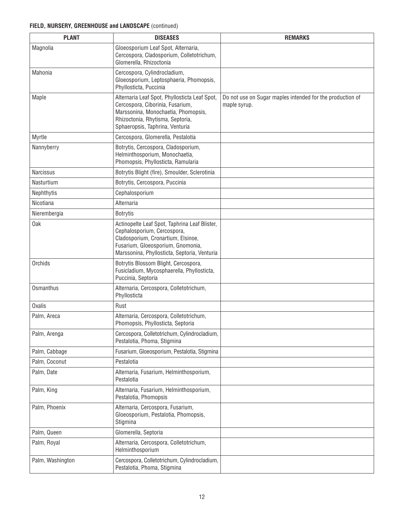| <b>PLANT</b>     | <b>DISEASES</b>                                                                                                                                                                                         | <b>REMARKS</b>                                                            |
|------------------|---------------------------------------------------------------------------------------------------------------------------------------------------------------------------------------------------------|---------------------------------------------------------------------------|
| Magnolia         | Gloeosporium Leaf Spot, Alternaria,<br>Cercospora, Cladosporium, Colletotrichum,<br>Glomerella, Rhizoctonia                                                                                             |                                                                           |
| Mahonia          | Cercospora, Cylindrocladium,<br>Gloeosporium, Leptosphaeria, Phomopsis,<br>Phyllosticta, Puccinia                                                                                                       |                                                                           |
| Maple            | Alternaria Leaf Spot, Phyllosticta Leaf Spot,<br>Cercospora, Ciborinia, Fusarium,<br>Marssonina, Monochaetia, Phomopsis,<br>Rhizoctonia, Rhytisma, Septoria,<br>Sphaeropsis, Taphrina, Venturia         | Do not use on Sugar maples intended for the production of<br>maple syrup. |
| Myrtle           | Cercospora, Glomerella, Pestalotia                                                                                                                                                                      |                                                                           |
| Nannyberry       | Botrytis, Cercospora, Cladosporium,<br>Helminthosporium, Monochaetia,<br>Phomopsis, Phyllosticta, Ramularia                                                                                             |                                                                           |
| Narcissus        | Botrytis Blight (fire), Smoulder, Sclerotinia                                                                                                                                                           |                                                                           |
| Nasturtium       | Botrytis, Cercospora, Puccinia                                                                                                                                                                          |                                                                           |
| Nephthytis       | Cephalosporium                                                                                                                                                                                          |                                                                           |
| Nicotiana        | Alternaria                                                                                                                                                                                              |                                                                           |
| Nierembergia     | <b>Botrytis</b>                                                                                                                                                                                         |                                                                           |
| <b>Oak</b>       | Actinopelte Leaf Spot, Taphrina Leaf Blister,<br>Cephalosporium, Cercospora,<br>Cladosporium, Cronartium, Elsinoe,<br>Fusarium, Gloeosporium, Gnomonia,<br>Marssonina, Phyllosticta, Septoria, Venturia |                                                                           |
| Orchids          | Botrytis Blossom Blight, Cercospora,<br>Fusicladium, Mycosphaerella, Phyllosticta,<br>Puccinia, Septoria                                                                                                |                                                                           |
| Osmanthus        | Alternaria, Cercospora, Colletotrichum,<br>Phyllosticta                                                                                                                                                 |                                                                           |
| <b>Oxalis</b>    | Rust                                                                                                                                                                                                    |                                                                           |
| Palm, Areca      | Alternaria, Cercospora, Colletotrichum,<br>Phomopsis, Phyllosticta, Septoria                                                                                                                            |                                                                           |
| Palm, Arenga     | Cercospora, Colletotrichum, Cylindrocladium,<br>Pestalotia, Phoma, Stigmina                                                                                                                             |                                                                           |
| Palm, Cabbage    | Fusarium, Gloeosporium, Pestalotia, Stigmina                                                                                                                                                            |                                                                           |
| Palm, Coconut    | Pestalotia                                                                                                                                                                                              |                                                                           |
| Palm, Date       | Alternaria, Fusarium, Helminthosporium,<br>Pestalotia                                                                                                                                                   |                                                                           |
| Palm, King       | Alternaria, Fusarium, Helminthosporium,<br>Pestalotia, Phomopsis                                                                                                                                        |                                                                           |
| Palm, Phoenix    | Alternaria, Cercospora, Fusarium,<br>Gloeosporium, Pestalotia, Phomopsis,<br>Stigmina                                                                                                                   |                                                                           |
| Palm, Queen      | Glomerella, Septoria                                                                                                                                                                                    |                                                                           |
| Palm, Royal      | Alternaria, Cercospora, Colletotrichum,<br>Helminthosporium                                                                                                                                             |                                                                           |
| Palm, Washington | Cercospora, Colletotrichum, Cylindrocladium,<br>Pestalotia, Phoma, Stigmina                                                                                                                             |                                                                           |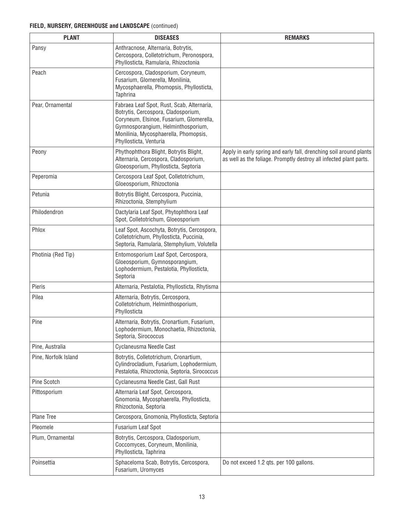| <b>PLANT</b>         | <b>DISEASES</b>                                                                                                                                                                                                                        | <b>REMARKS</b>                                                                                                                           |
|----------------------|----------------------------------------------------------------------------------------------------------------------------------------------------------------------------------------------------------------------------------------|------------------------------------------------------------------------------------------------------------------------------------------|
| Pansy                | Anthracnose, Alternaria, Botrytis,<br>Cercospora, Colletotrichum, Peronospora,<br>Phyllosticta, Ramularia, Rhizoctonia                                                                                                                 |                                                                                                                                          |
| Peach                | Cercospora, Cladosporium, Coryneum,<br>Fusarium, Glomerella, Monilinia,<br>Mycosphaerella, Phomopsis, Phyllosticta,<br>Taphrina                                                                                                        |                                                                                                                                          |
| Pear, Ornamental     | Fabraea Leaf Spot, Rust, Scab, Alternaria,<br>Botrytis, Cercospora, Cladosporium,<br>Coryneum, Elsinoe, Fusarium, Glomerella,<br>Gymnosporangium, Helminthosporium,<br>Monilinia, Mycosphaerella, Phomopsis,<br>Phyllosticta, Venturia |                                                                                                                                          |
| Peony                | Phythophthora Blight, Botrytis Blight,<br>Alternaria, Cercospora, Cladosporium,<br>Gloeosporium, Phyllosticta, Septoria                                                                                                                | Apply in early spring and early fall, drenching soil around plants<br>as well as the foliage. Promptly destroy all infected plant parts. |
| Peperomia            | Cercospora Leaf Spot, Colletotrichum,<br>Gloeosporium, Rhizoctonia                                                                                                                                                                     |                                                                                                                                          |
| Petunia              | Botrytis Blight, Cercospora, Puccinia,<br>Rhizoctonia, Stemphylium                                                                                                                                                                     |                                                                                                                                          |
| Philodendron         | Dactylaria Leaf Spot, Phytophthora Leaf<br>Spot, Colletotrichum, Gloeosporium                                                                                                                                                          |                                                                                                                                          |
| Phlox                | Leaf Spot, Ascochyta, Botrytis, Cercospora,<br>Colletotrichum, Phyllosticta, Puccinia,<br>Septoria, Ramularia, Stemphylium, Volutella                                                                                                  |                                                                                                                                          |
| Photinia (Red Tip)   | Entomosporium Leaf Spot, Cercospora,<br>Gloeosporium, Gymnosporangium,<br>Lophodermium, Pestalotia, Phyllosticta,<br>Septoria                                                                                                          |                                                                                                                                          |
| Pieris               | Alternaria, Pestalotia, Phyllosticta, Rhytisma                                                                                                                                                                                         |                                                                                                                                          |
| Pilea                | Alternaria, Botrytis, Cercospora,<br>Colletotrichum, Helminthosporium,<br>Phyllosticta                                                                                                                                                 |                                                                                                                                          |
| Pine                 | Alternaria, Botrytis, Cronartium, Fusarium,<br>Lophodermium, Monochaetia, Rhizoctonia,<br>Septoria, Sirococcus                                                                                                                         |                                                                                                                                          |
| Pine, Australia      | Cyclaneusma Needle Cast                                                                                                                                                                                                                |                                                                                                                                          |
| Pine, Norfolk Island | Botrytis, Colletotrichum, Cronartium,<br>Cylindrocladium, Fusarium, Lophodermium,<br>Pestalotia, Rhizoctonia, Septoria, Sirococcus                                                                                                     |                                                                                                                                          |
| Pine Scotch          | Cyclaneusma Needle Cast, Gall Rust                                                                                                                                                                                                     |                                                                                                                                          |
| Pittosporium         | Alternaria Leaf Spot, Cercospora,<br>Gnomonia, Mycosphaerella, Phyllosticta,<br>Rhizoctonia, Septoria                                                                                                                                  |                                                                                                                                          |
| Plane Tree           | Cercospora, Gnomonia, Phyllosticta, Septoria                                                                                                                                                                                           |                                                                                                                                          |
| Pleomele             | <b>Fusarium Leaf Spot</b>                                                                                                                                                                                                              |                                                                                                                                          |
| Plum, Ornamental     | Botrytis, Cercospora, Cladosporium,<br>Coccomyces, Coryneum, Monilinia,<br>Phyllosticta, Taphrina                                                                                                                                      |                                                                                                                                          |
| Poinsettia           | Sphaceloma Scab, Botrytis, Cercospora,<br>Fusarium, Uromyces                                                                                                                                                                           | Do not exceed 1.2 qts. per 100 gallons.                                                                                                  |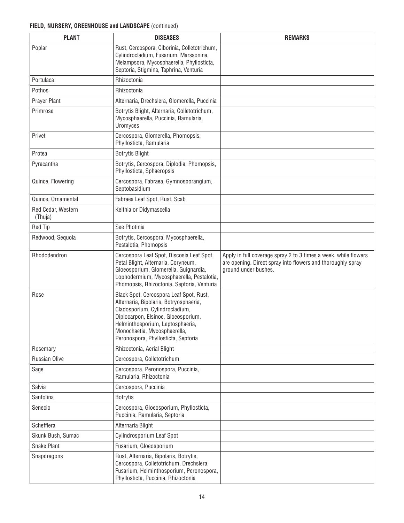| <b>PLANT</b>                  | <b>DISEASES</b>                                                                                                                                                                                                                                                       | <b>REMARKS</b>                                                                                                                                         |
|-------------------------------|-----------------------------------------------------------------------------------------------------------------------------------------------------------------------------------------------------------------------------------------------------------------------|--------------------------------------------------------------------------------------------------------------------------------------------------------|
| Poplar                        | Rust, Cercospora, Ciborinia, Colletotrichum,<br>Cylindrocladium, Fusarium, Marssonina,<br>Melampsora, Mycosphaerella, Phyllosticta,<br>Septoria, Stigmina, Taphrina, Venturia                                                                                         |                                                                                                                                                        |
| Portulaca                     | Rhizoctonia                                                                                                                                                                                                                                                           |                                                                                                                                                        |
| Pothos                        | Rhizoctonia                                                                                                                                                                                                                                                           |                                                                                                                                                        |
| Prayer Plant                  | Alternaria, Drechslera, Glomerella, Puccinia                                                                                                                                                                                                                          |                                                                                                                                                        |
| Primrose                      | Botrytis Blight, Alternaria, Colletotrichum,<br>Mycosphaerella, Puccinia, Ramularia,<br>Uromyces                                                                                                                                                                      |                                                                                                                                                        |
| Privet                        | Cercospora, Glomerella, Phomopsis,<br>Phyllosticta, Ramularia                                                                                                                                                                                                         |                                                                                                                                                        |
| Protea                        | <b>Botrytis Blight</b>                                                                                                                                                                                                                                                |                                                                                                                                                        |
| Pyracantha                    | Botrytis, Cercospora, Diplodia, Phomopsis,<br>Phyllosticta, Sphaeropsis                                                                                                                                                                                               |                                                                                                                                                        |
| Quince, Flowering             | Cercospora, Fabraea, Gymnosporangium,<br>Septobasidium                                                                                                                                                                                                                |                                                                                                                                                        |
| Quince, Ornamental            | Fabraea Leaf Spot, Rust, Scab                                                                                                                                                                                                                                         |                                                                                                                                                        |
| Red Cedar, Western<br>(Thuja) | Keithia or Didymascella                                                                                                                                                                                                                                               |                                                                                                                                                        |
| <b>Red Tip</b>                | See Photinia                                                                                                                                                                                                                                                          |                                                                                                                                                        |
| Redwood, Sequoia              | Botrytis, Cercospora, Mycosphaerella,<br>Pestalotia, Phomopsis                                                                                                                                                                                                        |                                                                                                                                                        |
| Rhododendron                  | Cercospora Leaf Spot, Discosia Leaf Spot,<br>Petal Blight, Alternaria, Coryneum,<br>Gloeosporium, Glomerella, Guignardia,<br>Lophodermium, Mycosphaerella, Pestalotia,<br>Phomopsis, Rhizoctonia, Septoria, Venturia                                                  | Apply in full coverage spray 2 to 3 times a week, while flowers<br>are opening. Direct spray into flowers and thoroughly spray<br>ground under bushes. |
| Rose                          | Black Spot, Cercospora Leaf Spot, Rust,<br>Alternaria, Bipolaris, Botryosphaeria,<br>Cladosporium, Cylindrocladium,<br>Diplocarpon, Elsinoe, Gloeosporium,<br>Helminthosporium, Leptosphaeria,<br>Monochaetia, Mycosphaerella,<br>Peronospora, Phyllosticta, Septoria |                                                                                                                                                        |
| Rosemary                      | Rhizoctonia, Aerial Blight                                                                                                                                                                                                                                            |                                                                                                                                                        |
| Russian Olive                 | Cercospora, Colletotrichum                                                                                                                                                                                                                                            |                                                                                                                                                        |
| Sage                          | Cercospora, Peronospora, Puccinia,<br>Ramularia, Rhizoctonia                                                                                                                                                                                                          |                                                                                                                                                        |
| Salvia                        | Cercospora, Puccinia                                                                                                                                                                                                                                                  |                                                                                                                                                        |
| Santolina                     | <b>Botrytis</b>                                                                                                                                                                                                                                                       |                                                                                                                                                        |
| Senecio                       | Cercospora, Gloeosporium, Phyllosticta,<br>Puccinia, Ramularia, Septoria                                                                                                                                                                                              |                                                                                                                                                        |
| Schefflera                    | Alternaria Blight                                                                                                                                                                                                                                                     |                                                                                                                                                        |
| Skunk Bush, Sumac             | Cylindrosporium Leaf Spot                                                                                                                                                                                                                                             |                                                                                                                                                        |
| Snake Plant                   | Fusarium, Gloeosporium                                                                                                                                                                                                                                                |                                                                                                                                                        |
| Snapdragons                   | Rust, Alternaria, Bipolaris, Botrytis,<br>Cercospora, Colletotrichum, Drechslera,<br>Fusarium, Helminthosporium, Peronospora,<br>Phyllosticta, Puccinia, Rhizoctonia                                                                                                  |                                                                                                                                                        |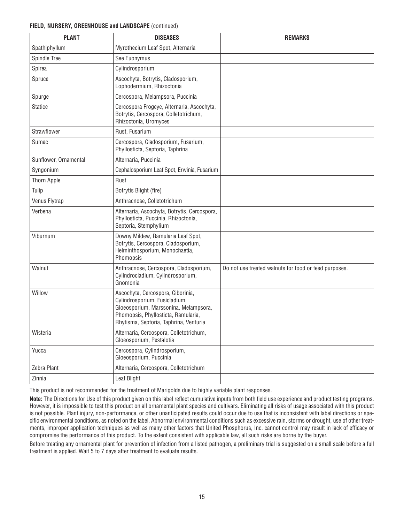| <b>PLANT</b>          | <b>DISEASES</b>                                                                                                                                                                              | <b>REMARKS</b>                                        |
|-----------------------|----------------------------------------------------------------------------------------------------------------------------------------------------------------------------------------------|-------------------------------------------------------|
| Spathiphyllum         | Myrothecium Leaf Spot, Alternaria                                                                                                                                                            |                                                       |
| Spindle Tree          | See Euonymus                                                                                                                                                                                 |                                                       |
| Spirea                | Cylindrosporium                                                                                                                                                                              |                                                       |
| Spruce                | Ascochyta, Botrytis, Cladosporium,<br>Lophodermium, Rhizoctonia                                                                                                                              |                                                       |
| Spurge                | Cercospora, Melampsora, Puccinia                                                                                                                                                             |                                                       |
| <b>Statice</b>        | Cercospora Frogeye, Alternaria, Ascochyta,<br>Botrytis, Cercospora, Colletotrichum,<br>Rhizoctonia, Uromyces                                                                                 |                                                       |
| Strawflower           | Rust, Fusarium                                                                                                                                                                               |                                                       |
| Sumac                 | Cercospora, Cladosporium, Fusarium,<br>Phyllosticta, Septoria, Taphrina                                                                                                                      |                                                       |
| Sunflower, Ornamental | Alternaria, Puccinia                                                                                                                                                                         |                                                       |
| Syngonium             | Cephalosporium Leaf Spot, Erwinia, Fusarium                                                                                                                                                  |                                                       |
| Thorn Apple           | Rust                                                                                                                                                                                         |                                                       |
| Tulip                 | Botrytis Blight (fire)                                                                                                                                                                       |                                                       |
| Venus Flytrap         | Anthracnose, Colletotrichum                                                                                                                                                                  |                                                       |
| Verbena               | Alternaria, Ascochyta, Botrytis, Cercospora,<br>Phyllosticta, Puccinia, Rhizoctonia,<br>Septoria, Stemphylium                                                                                |                                                       |
| Viburnum              | Downy Mildew, Ramularia Leaf Spot,<br>Botrytis, Cercospora, Cladosporium,<br>Helminthosporium, Monochaetia,<br>Phomopsis                                                                     |                                                       |
| Walnut                | Anthracnose, Cercospora, Cladosporium,<br>Cylindrocladium, Cylindrosporium,<br>Gnomonia                                                                                                      | Do not use treated walnuts for food or feed purposes. |
| Willow                | Ascochyta, Cercospora, Ciborinia,<br>Cylindrosporium, Fusicladium,<br>Gloeosporium, Marssonina, Melampsora,<br>Phomopsis, Phyllosticta, Ramularia,<br>Rhytisma, Septoria, Taphrina, Venturia |                                                       |
| Wisteria              | Alternaria, Cercospora, Colletotrichum,<br>Gloeosporium, Pestalotia                                                                                                                          |                                                       |
| Yucca                 | Cercospora, Cylindrosporium,<br>Gloeosporium, Puccinia                                                                                                                                       |                                                       |
| Zebra Plant           | Alternaria, Cercospora, Colletotrichum                                                                                                                                                       |                                                       |
| Zinnia                | Leaf Blight                                                                                                                                                                                  |                                                       |
|                       |                                                                                                                                                                                              |                                                       |

This product is not recommended for the treatment of Marigolds due to highly variable plant responses.

**Note:** The Directions for Use of this product given on this label reflect cumulative inputs from both field use experience and product testing programs. However, it is impossible to test this product on all ornamental plant species and cultivars. Eliminating all risks of usage associated with this product is not possible. Plant injury, non-performance, or other unanticipated results could occur due to use that is inconsistent with label directions or specific environmental conditions, as noted on the label. Abnormal environmental conditions such as excessive rain, storms or drought, use of other treatments, improper application techniques as well as many other factors that United Phosphorus, Inc. cannot control may result in lack of efficacy or compromise the performance of this product. To the extent consistent with applicable law, all such risks are borne by the buyer.

Before treating any ornamental plant for prevention of infection from a listed pathogen, a preliminary trial is suggested on a small scale before a full treatment is applied. Wait 5 to 7 days after treatment to evaluate results.